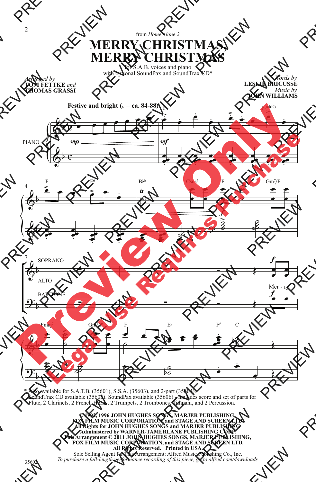## from *Home Alone 2* **MERRY CHRISTMAS, MERRY CHRISTMAS**

for S.A.B. voices and piano with optional SoundPax and SoundTrax CD\*

**TOM FETTKE** *and* **THOMAS GRASSI**

*Words by* **LESLIE BRICUSSE** *Music by* **JOHN WILLIAMS**



\* Also available for S.A.T.B. (35601), S.S.A. (35603), and 2-part (35604). SoundTrax CD available (35605). SoundPax available (35606) - includes score and set of parts for Flute, 2 Clarinets, 2 French Horns, 2 Trumpets, 2 Trombones, Timpani, and 2 Percussion.

> **© 1992, 1996 JOHN HUGHES SONGS, MARJER PUBLISHING, FOX FILM MUSIC CORPORATION, and STAGE AND SCREEN LTD. All Rights for JOHN HUGHES SONGS and MARJER PUBLISHING Administered by WARNER-TAMERLANE PUBLISHING CORP. This Arrangement © 2011 JOHN HUGHES SONGS, MARJER PUBLISHING, FOX FILM MUSIC CORPORATION, and STAGE AND SCREEN LTD. All Rights Reserved. Printed in USA.** Sole Selling Agent for This Arrangement: Alfred Music Publishing Co., Inc.

*To purchase a full-length performance recording of this piece, go to alfred.com/downloads*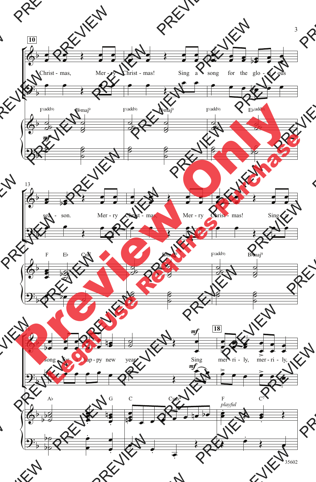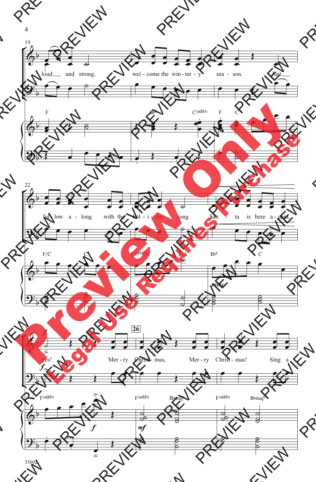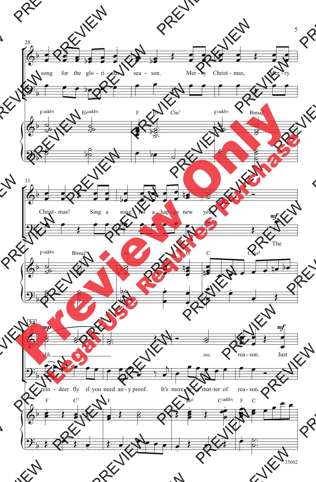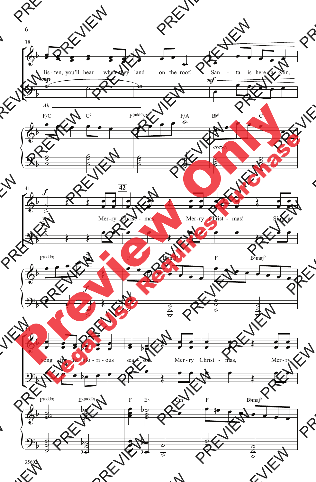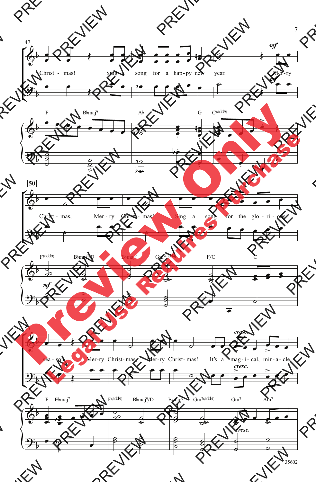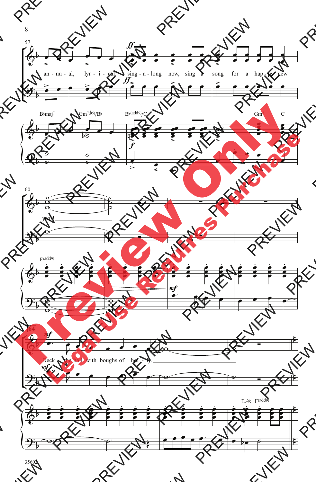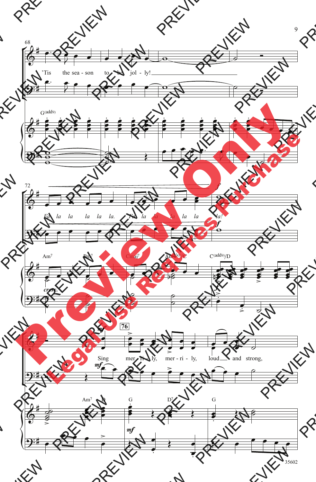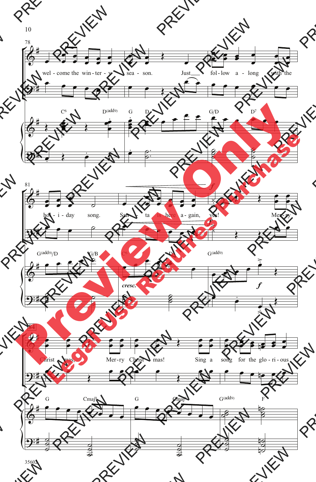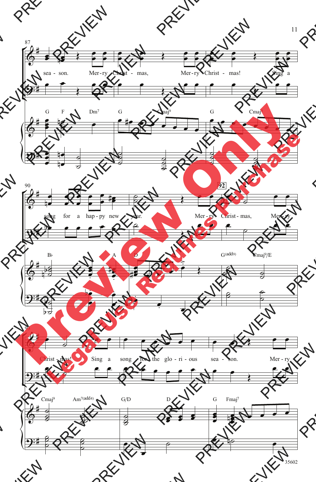